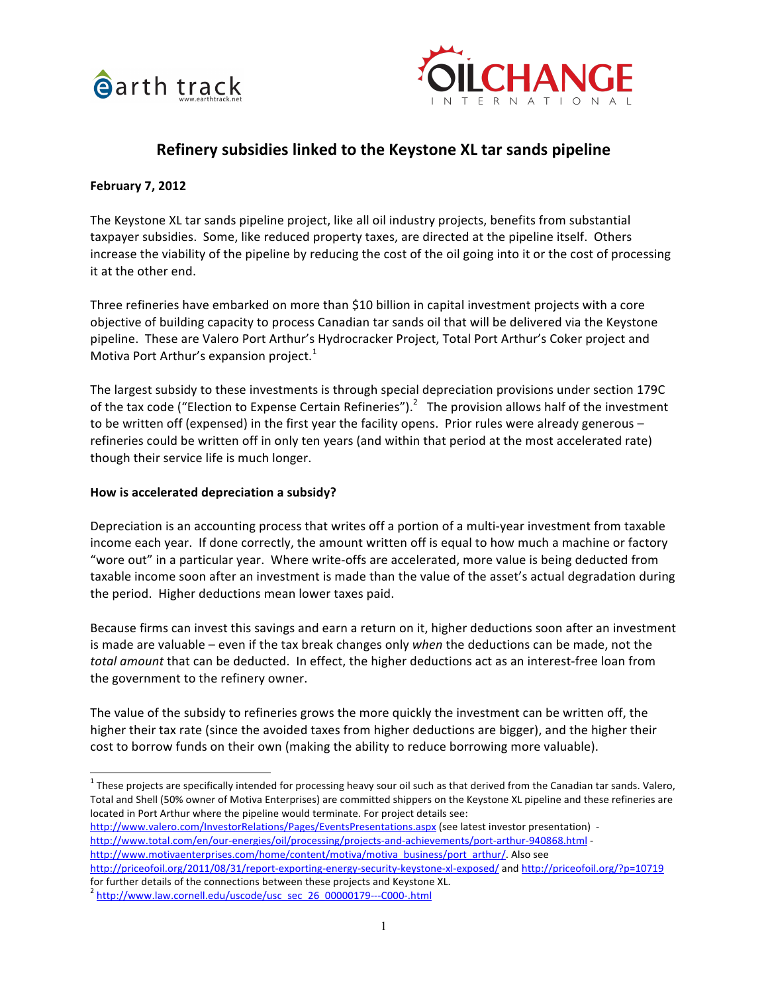



# Refinery subsidies linked to the Keystone XL tar sands pipeline

## **February 7, 2012**

The Keystone XL tar sands pipeline project, like all oil industry projects, benefits from substantial taxpayer subsidies. Some, like reduced property taxes, are directed at the pipeline itself. Others increase the viability of the pipeline by reducing the cost of the oil going into it or the cost of processing it at the other end.

Three refineries have embarked on more than \$10 billion in capital investment projects with a core objective of building capacity to process Canadian tar sands oil that will be delivered via the Keystone pipeline. These are Valero Port Arthur's Hydrocracker Project, Total Port Arthur's Coker project and Motiva Port Arthur's expansion project.<sup>1</sup>

The largest subsidy to these investments is through special depreciation provisions under section 179C of the tax code ("Election to Expense Certain Refineries").<sup>2</sup> The provision allows half of the investment to be written off (expensed) in the first year the facility opens. Prior rules were already generous – refineries could be written off in only ten years (and within that period at the most accelerated rate) though their service life is much longer.

#### How is accelerated depreciation a subsidy?

Depreciation is an accounting process that writes off a portion of a multi-year investment from taxable income each year. If done correctly, the amount written off is equal to how much a machine or factory "wore out" in a particular year. Where write-offs are accelerated, more value is being deducted from taxable income soon after an investment is made than the value of the asset's actual degradation during the period. Higher deductions mean lower taxes paid.

Because firms can invest this savings and earn a return on it, higher deductions soon after an investment is made are valuable – even if the tax break changes only *when* the deductions can be made, not the total amount that can be deducted. In effect, the higher deductions act as an interest-free loan from the government to the refinery owner.

The value of the subsidy to refineries grows the more quickly the investment can be written off, the higher their tax rate (since the avoided taxes from higher deductions are bigger), and the higher their cost to borrow funds on their own (making the ability to reduce borrowing more valuable).

http://www.valero.com/InvestorRelations/Pages/EventsPresentations.aspx (see latest investor presentation) http://www.total.com/en/our-energies/oil/processing/projects-and-achievements/port-arthur-940868.html http://www.motivaenterprises.com/home/content/motiva/motiva\_business/port\_arthur/. Also see

http://priceofoil.org/2011/08/31/report-exporting-energy-security-keystone-xl-exposed/ and http://priceofoil.org/?p=10719 for further details of the connections between these projects and Keystone XL. <sup>2</sup> http://www.law.cornell.edu/uscode/usc\_sec\_26\_00000179---C000-.html

 $\frac{1}{1}$  $1$  These projects are specifically intended for processing heavy sour oil such as that derived from the Canadian tar sands. Valero, Total and Shell (50% owner of Motiva Enterprises) are committed shippers on the Keystone XL pipeline and these refineries are located in Port Arthur where the pipeline would terminate. For project details see: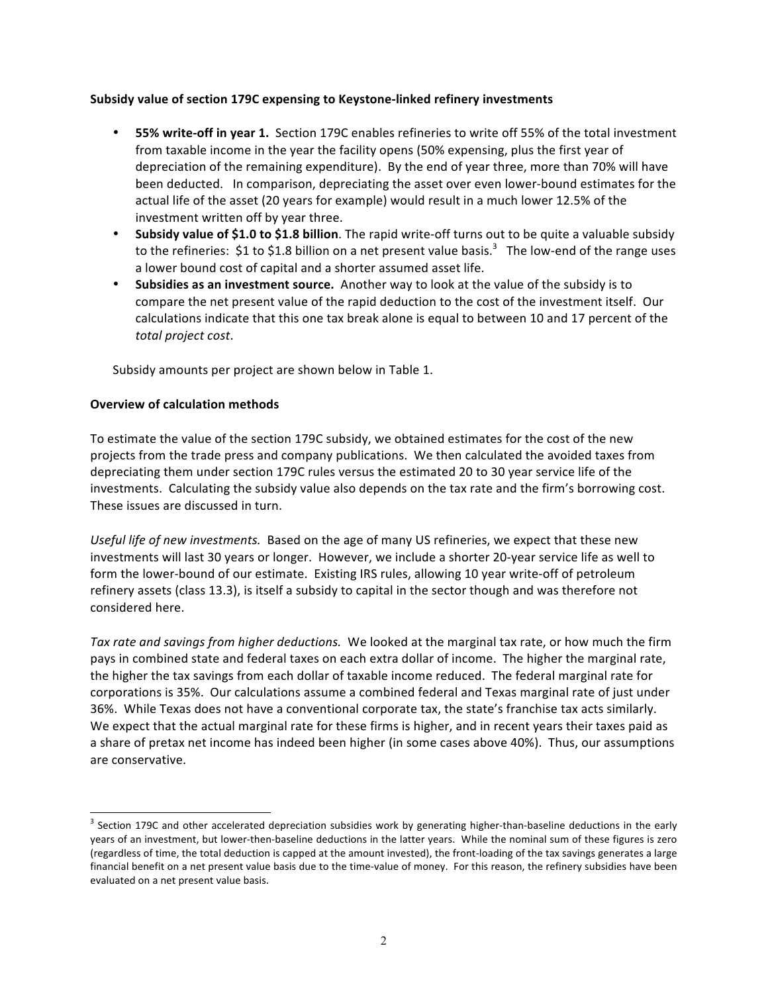## Subsidy value of section 179C expensing to Keystone-linked refinery investments

- **55% write-off in year 1.** Section 179C enables refineries to write off 55% of the total investment from taxable income in the year the facility opens (50% expensing, plus the first year of depreciation of the remaining expenditure). By the end of year three, more than 70% will have been deducted. In comparison, depreciating the asset over even lower-bound estimates for the actual life of the asset (20 years for example) would result in a much lower 12.5% of the investment written off by year three.
- **Subsidy value of \$1.0 to \$1.8 billion**. The rapid write-off turns out to be quite a valuable subsidy to the refineries: \$1 to \$1.8 billion on a net present value basis.<sup>3</sup> The low-end of the range uses a lower bound cost of capital and a shorter assumed asset life.
- **Subsidies as an investment source.** Another way to look at the value of the subsidy is to compare the net present value of the rapid deduction to the cost of the investment itself. Our calculations indicate that this one tax break alone is equal to between 10 and 17 percent of the total project cost.

Subsidy amounts per project are shown below in Table 1.

### **Overview of calculation methods**

To estimate the value of the section 179C subsidy, we obtained estimates for the cost of the new projects from the trade press and company publications. We then calculated the avoided taxes from depreciating them under section 179C rules versus the estimated 20 to 30 year service life of the investments. Calculating the subsidy value also depends on the tax rate and the firm's borrowing cost. These issues are discussed in turn.

Useful life of new investments.) Based on the age of many US refineries, we expect that these new investments will last 30 years or longer. However, we include a shorter 20-year service life as well to form the lower-bound of our estimate. Existing IRS rules, allowing 10 year write-off of petroleum refinery assets (class 13.3), is itself a subsidy to capital in the sector though and was therefore not considered here.

*Tax rate and savings from higher deductions.* We looked at the marginal tax rate, or how much the firm pays in combined state and federal taxes on each extra dollar of income. The higher the marginal rate, the higher the tax savings from each dollar of taxable income reduced. The federal marginal rate for corporations is 35%. Our calculations assume a combined federal and Texas marginal rate of just under 36%. While Texas does not have a conventional corporate tax, the state's franchise tax acts similarly. We expect that the actual marginal rate for these firms is higher, and in recent years their taxes paid as a share of pretax net income has indeed been higher (in some cases above 40%). Thus, our assumptions are conservative.

<sup>-&</sup>lt;br>3  $3$  Section 179C and other accelerated depreciation subsidies work by generating higher-than-baseline deductions in the early years of an investment, but lower-then-baseline deductions in the latter years. While the nominal sum of these figures is zero (regardless of time, the total deduction is capped at the amount invested), the front-loading of the tax savings generates a large financial benefit on a net present value basis due to the time-value of money. For this reason, the refinery subsidies have been evaluated on a net present value basis.